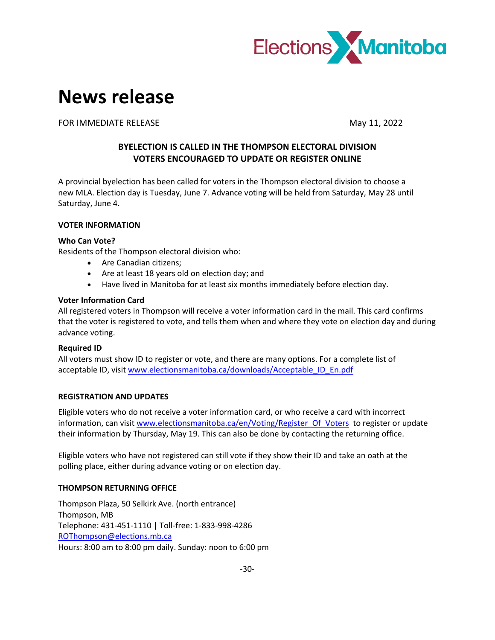

# **News release**

FOR IMMEDIATE RELEASE **May 11, 2022** 

# **BYELECTION IS CALLED IN THE THOMPSON ELECTORAL DIVISION VOTERS ENCOURAGED TO UPDATE OR REGISTER ONLINE**

A provincial byelection has been called for voters in the Thompson electoral division to choose a new MLA. Election day is Tuesday, June 7. Advance voting will be held from Saturday, May 28 until Saturday, June 4.

# **VOTER INFORMATION**

# **Who Can Vote?**

Residents of the Thompson electoral division who:

- Are Canadian citizens;
- Are at least 18 years old on election day; and
- Have lived in Manitoba for at least six months immediately before election day.

#### **Voter Information Card**

All registered voters in Thompson will receive a voter information card in the mail. This card confirms that the voter is registered to vote, and tells them when and where they vote on election day and during advance voting.

#### **Required ID**

All voters must show ID to register or vote, and there are many options. For a complete list of acceptable ID, visit [www.electionsmanitoba.ca/downloads/Acceptable\\_ID\\_En.pdf](http://www.electionsmanitoba.ca/downloads/Acceptable_ID_En.pdf)

# **REGISTRATION AND UPDATES**

Eligible voters who do not receive a voter information card, or who receive a card with incorrect information, can visit [www.electionsmanitoba.ca/en/Voting/Register\\_Of\\_Voters](http://www.electionsmanitoba.ca/en/Voting/Register_Of_Voters) to register or update their information by Thursday, May 19. This can also be done by contacting the returning office.

Eligible voters who have not registered can still vote if they show their ID and take an oath at the polling place, either during advance voting or on election day.

#### **THOMPSON RETURNING OFFICE**

Thompson Plaza, 50 Selkirk Ave. (north entrance) Thompson, MB Telephone: 431-451-1110 | Toll-free: 1-833-998-4286 [ROThompson@elections.mb.ca](mailto:ROThompson@elections.mb.ca) Hours: 8:00 am to 8:00 pm daily. Sunday: noon to 6:00 pm